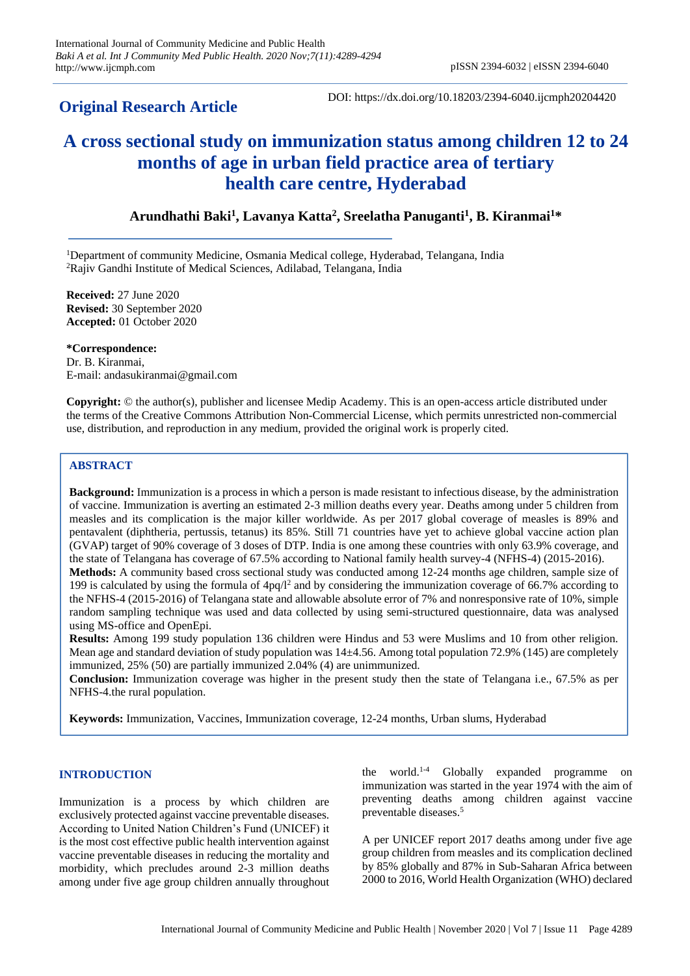# **Original Research Article**

DOI: https://dx.doi.org/10.18203/2394-6040.ijcmph20204420

# **A cross sectional study on immunization status among children 12 to 24 months of age in urban field practice area of tertiary health care centre, Hyderabad**

# **Arundhathi Baki<sup>1</sup> , Lavanya Katta<sup>2</sup> , Sreelatha Panuganti<sup>1</sup> , B. Kiranmai<sup>1</sup>\***

<sup>1</sup>Department of community Medicine, Osmania Medical college, Hyderabad, Telangana, India <sup>2</sup>Rajiv Gandhi Institute of Medical Sciences, Adilabad, Telangana, India

**Received:** 27 June 2020 **Revised:** 30 September 2020 **Accepted:** 01 October 2020

**\*Correspondence:** Dr. B. Kiranmai, E-mail: andasukiranmai@gmail.com

**Copyright:** © the author(s), publisher and licensee Medip Academy. This is an open-access article distributed under the terms of the Creative Commons Attribution Non-Commercial License, which permits unrestricted non-commercial use, distribution, and reproduction in any medium, provided the original work is properly cited.

# **ABSTRACT**

**Background:** Immunization is a process in which a person is made resistant to infectious disease, by the administration of vaccine. Immunization is averting an estimated 2-3 million deaths every year. Deaths among under 5 children from measles and its complication is the major killer worldwide. As per 2017 global coverage of measles is 89% and pentavalent (diphtheria, pertussis, tetanus) its 85%. Still 71 countries have yet to achieve global vaccine action plan (GVAP) target of 90% coverage of 3 doses of DTP. India is one among these countries with only 63.9% coverage, and the state of Telangana has coverage of 67.5% according to National family health survey-4 (NFHS-4) (2015-2016).

**Methods:** A community based cross sectional study was conducted among 12-24 months age children, sample size of 199 is calculated by using the formula of 4pq/l<sup>2</sup> and by considering the immunization coverage of 66.7% according to the NFHS-4 (2015-2016) of Telangana state and allowable absolute error of 7% and nonresponsive rate of 10%, simple random sampling technique was used and data collected by using semi-structured questionnaire, data was analysed using MS-office and OpenEpi.

**Results:** Among 199 study population 136 children were Hindus and 53 were Muslims and 10 from other religion. Mean age and standard deviation of study population was 14±4.56. Among total population 72.9% (145) are completely immunized, 25% (50) are partially immunized 2.04% (4) are unimmunized.

**Conclusion:** Immunization coverage was higher in the present study then the state of Telangana i.e., 67.5% as per NFHS-4.the rural population.

**Keywords:** Immunization, Vaccines, Immunization coverage, 12-24 months, Urban slums, Hyderabad

## **INTRODUCTION**

Immunization is a process by which children are exclusively protected against vaccine preventable diseases. According to United Nation Children's Fund (UNICEF) it is the most cost effective public health intervention against vaccine preventable diseases in reducing the mortality and morbidity, which precludes around 2-3 million deaths among under five age group children annually throughout

the world.1-4 Globally expanded programme on immunization was started in the year 1974 with the aim of preventing deaths among children against vaccine preventable diseases.<sup>5</sup>

A per UNICEF report 2017 deaths among under five age group children from measles and its complication declined by 85% globally and 87% in Sub-Saharan Africa between 2000 to 2016, World Health Organization (WHO) declared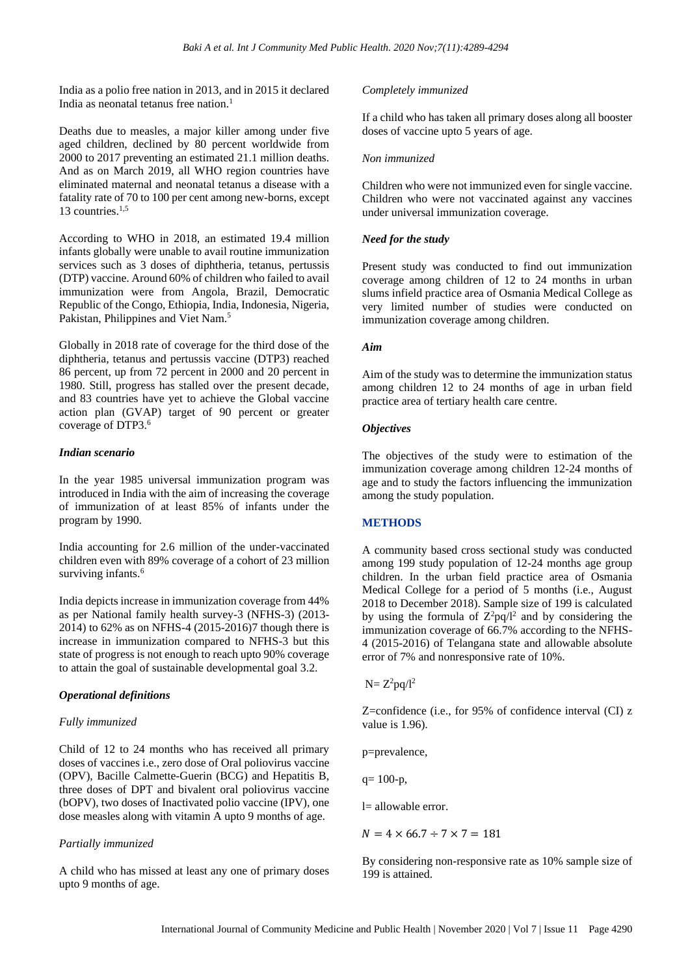India as a polio free nation in 2013, and in 2015 it declared India as neonatal tetanus free nation.<sup>1</sup>

Deaths due to measles, a major killer among under five aged children, declined by 80 percent worldwide from 2000 to 2017 preventing an estimated 21.1 million deaths. And as on March 2019, all WHO region countries have eliminated maternal and neonatal tetanus a disease with a fatality rate of 70 to 100 per cent among new-borns, except 13 countries. $1,5$ 

According to WHO in 2018, an estimated 19.4 million infants globally were unable to avail routine immunization services such as 3 doses of diphtheria, tetanus, pertussis (DTP) vaccine. Around 60% of children who failed to avail immunization were from Angola, Brazil, Democratic Republic of the Congo, Ethiopia, India, Indonesia, Nigeria, Pakistan, Philippines and Viet Nam.<sup>5</sup>

Globally in 2018 rate of coverage for the third dose of the diphtheria, tetanus and pertussis vaccine (DTP3) reached 86 percent, up from 72 percent in 2000 and 20 percent in 1980. Still, progress has stalled over the present decade, and 83 countries have yet to achieve the Global vaccine action plan (GVAP) target of 90 percent or greater coverage of DTP3.<sup>6</sup>

#### *Indian scenario*

In the year 1985 universal immunization program was introduced in India with the aim of increasing the coverage of immunization of at least 85% of infants under the program by 1990.

India accounting for 2.6 million of the under-vaccinated children even with 89% coverage of a cohort of 23 million surviving infants.<sup>6</sup>

India depicts increase in immunization coverage from 44% as per National family health survey-3 (NFHS-3) (2013- 2014) to 62% as on NFHS-4 (2015-2016)7 though there is increase in immunization compared to NFHS-3 but this state of progress is not enough to reach upto 90% coverage to attain the goal of sustainable developmental goal 3.2.

#### *Operational definitions*

#### *Fully immunized*

Child of 12 to 24 months who has received all primary doses of vaccines i.e., zero dose of Oral poliovirus vaccine (OPV), Bacille Calmette-Guerin (BCG) and Hepatitis B, three doses of DPT and bivalent oral poliovirus vaccine (bOPV), two doses of Inactivated polio vaccine (IPV), one dose measles along with vitamin A upto 9 months of age.

#### *Partially immunized*

A child who has missed at least any one of primary doses upto 9 months of age.

#### *Completely immunized*

If a child who has taken all primary doses along all booster doses of vaccine upto 5 years of age.

#### *Non immunized*

Children who were not immunized even for single vaccine. Children who were not vaccinated against any vaccines under universal immunization coverage.

#### *Need for the study*

Present study was conducted to find out immunization coverage among children of 12 to 24 months in urban slums infield practice area of Osmania Medical College as very limited number of studies were conducted on immunization coverage among children.

#### *Aim*

Aim of the study was to determine the immunization status among children 12 to 24 months of age in urban field practice area of tertiary health care centre.

#### *Objectives*

The objectives of the study were to estimation of the immunization coverage among children 12-24 months of age and to study the factors influencing the immunization among the study population.

#### **METHODS**

A community based cross sectional study was conducted among 199 study population of 12-24 months age group children. In the urban field practice area of Osmania Medical College for a period of 5 months (i.e., August 2018 to December 2018). Sample size of 199 is calculated by using the formula of  $Z^2pq/l^2$  and by considering the immunization coverage of 66.7% according to the NFHS-4 (2015-2016) of Telangana state and allowable absolute error of 7% and nonresponsive rate of 10%.

 $N = Z^2 pq/l^2$ 

Z=confidence (i.e., for 95% of confidence interval (CI) z value is 1.96).

p=prevalence,

 $q= 100-p$ ,

l= allowable error.

 $N = 4 \times 66.7 \div 7 \times 7 = 181$ 

By considering non-responsive rate as 10% sample size of 199 is attained.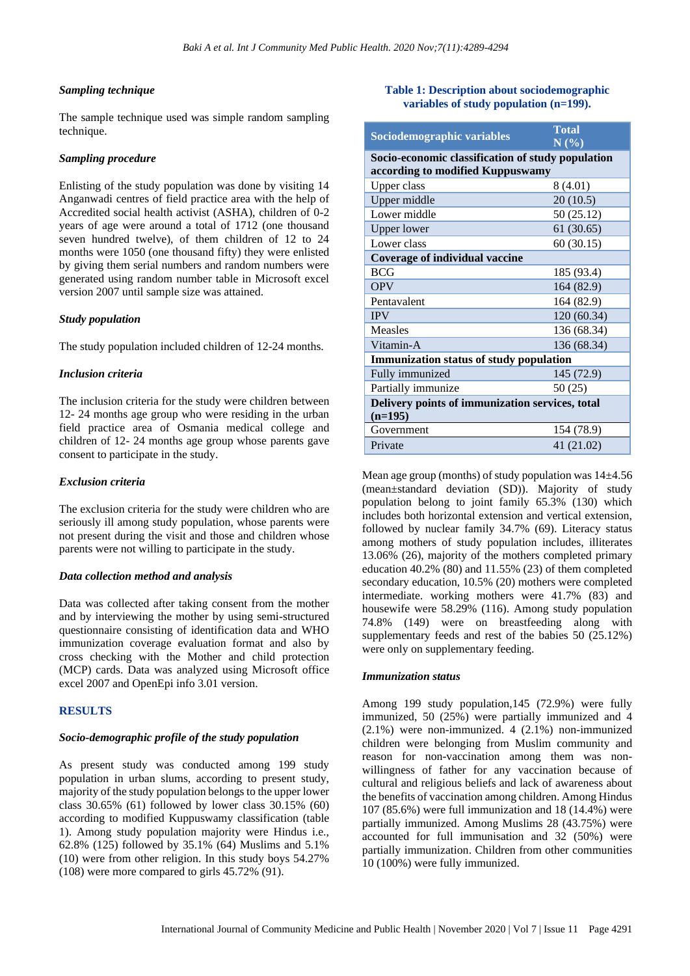#### *Sampling technique*

The sample technique used was simple random sampling technique.

#### *Sampling procedure*

Enlisting of the study population was done by visiting 14 Anganwadi centres of field practice area with the help of Accredited social health activist (ASHA), children of 0-2 years of age were around a total of 1712 (one thousand seven hundred twelve), of them children of 12 to 24 months were 1050 (one thousand fifty) they were enlisted by giving them serial numbers and random numbers were generated using random number table in Microsoft excel version 2007 until sample size was attained.

#### *Study population*

The study population included children of 12-24 months.

#### *Inclusion criteria*

The inclusion criteria for the study were children between 12- 24 months age group who were residing in the urban field practice area of Osmania medical college and children of 12- 24 months age group whose parents gave consent to participate in the study.

#### *Exclusion criteria*

The exclusion criteria for the study were children who are seriously ill among study population, whose parents were not present during the visit and those and children whose parents were not willing to participate in the study.

#### *Data collection method and analysis*

Data was collected after taking consent from the mother and by interviewing the mother by using semi-structured questionnaire consisting of identification data and WHO immunization coverage evaluation format and also by cross checking with the Mother and child protection (MCP) cards. Data was analyzed using Microsoft office excel 2007 and OpenEpi info 3.01 version.

#### **RESULTS**

#### *Socio-demographic profile of the study population*

As present study was conducted among 199 study population in urban slums, according to present study, majority of the study population belongs to the upper lower class 30.65% (61) followed by lower class 30.15% (60) according to modified Kuppuswamy classification (table 1). Among study population majority were Hindus i.e., 62.8% (125) followed by 35.1% (64) Muslims and 5.1% (10) were from other religion. In this study boys 54.27% (108) were more compared to girls 45.72% (91).

#### **Table 1: Description about sociodemographic variables of study population (n=199).**

| Sociodemographic variables                                                            | <b>Total</b><br>N(% |  |  |  |  |
|---------------------------------------------------------------------------------------|---------------------|--|--|--|--|
| Socio-economic classification of study population<br>according to modified Kuppuswamy |                     |  |  |  |  |
| Upper class                                                                           | 8(4.01)             |  |  |  |  |
| Upper middle                                                                          | 20(10.5)            |  |  |  |  |
| Lower middle                                                                          | 50 (25.12)          |  |  |  |  |
| <b>Upper lower</b>                                                                    | 61(30.65)           |  |  |  |  |
| Lower class                                                                           | 60(30.15)           |  |  |  |  |
| Coverage of individual vaccine                                                        |                     |  |  |  |  |
| <b>BCG</b>                                                                            | 185 (93.4)          |  |  |  |  |
| <b>OPV</b>                                                                            | 164 (82.9)          |  |  |  |  |
| Pentavalent                                                                           | 164 (82.9)          |  |  |  |  |
| <b>IPV</b>                                                                            | 120 (60.34)         |  |  |  |  |
| Measles                                                                               | 136 (68.34)         |  |  |  |  |
| Vitamin-A                                                                             | 136 (68.34)         |  |  |  |  |
| <b>Immunization status of study population</b>                                        |                     |  |  |  |  |
| Fully immunized                                                                       | 145 (72.9)          |  |  |  |  |
| Partially immunize                                                                    | 50 (25)             |  |  |  |  |
| Delivery points of immunization services, total<br>$(n=195)$                          |                     |  |  |  |  |
| Government                                                                            | 154 (78.9)          |  |  |  |  |
| Private                                                                               | 41 (21.02)          |  |  |  |  |

Mean age group (months) of study population was 14±4.56 (mean±standard deviation (SD)). Majority of study population belong to joint family 65.3% (130) which includes both horizontal extension and vertical extension, followed by nuclear family 34.7% (69). Literacy status among mothers of study population includes, illiterates 13.06% (26), majority of the mothers completed primary education  $40.2\%$  (80) and  $11.55\%$  (23) of them completed secondary education, 10.5% (20) mothers were completed intermediate. working mothers were 41.7% (83) and housewife were 58.29% (116). Among study population 74.8% (149) were on breastfeeding along with supplementary feeds and rest of the babies 50 (25.12%) were only on supplementary feeding.

#### *Immunization status*

Among 199 study population,145 (72.9%) were fully immunized, 50 (25%) were partially immunized and 4  $(2.1\%)$  were non-immunized. 4  $(2.1\%)$  non-immunized children were belonging from Muslim community and reason for non-vaccination among them was nonwillingness of father for any vaccination because of cultural and religious beliefs and lack of awareness about the benefits of vaccination among children. Among Hindus 107 (85.6%) were full immunization and 18 (14.4%) were partially immunized. Among Muslims 28 (43.75%) were accounted for full immunisation and 32 (50%) were partially immunization. Children from other communities 10 (100%) were fully immunized.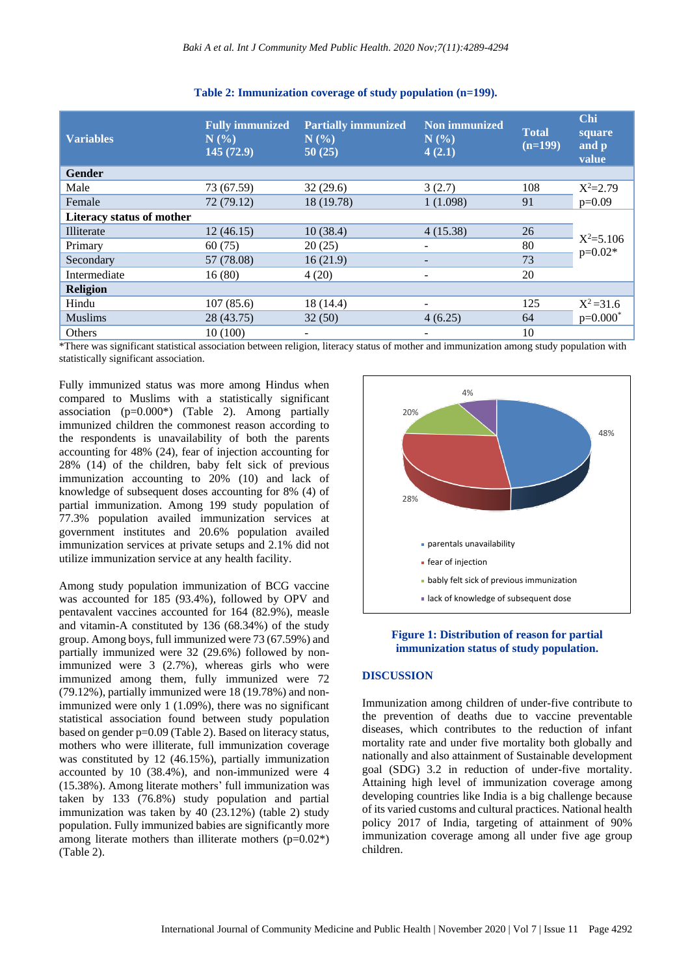| <b>Variables</b>                 | <b>Fully immunized</b><br>$N$ $\left(\frac{9}{6}\right)$<br>145(72.9) | <b>Partially immunized</b><br>N(%<br>50(25) | Non immunized<br>N(%)<br>4(2.1) | <b>Total</b><br>$(n=199)$ | <b>Chi</b><br>square<br>and p<br>value |
|----------------------------------|-----------------------------------------------------------------------|---------------------------------------------|---------------------------------|---------------------------|----------------------------------------|
| <b>Gender</b>                    |                                                                       |                                             |                                 |                           |                                        |
| Male                             | 73 (67.59)                                                            | 32(29.6)                                    | 3(2.7)                          | 108                       | $X^2 = 2.79$                           |
| Female                           | 72 (79.12)                                                            | 18 (19.78)                                  | 1(1.098)                        | 91                        | $p=0.09$                               |
| <b>Literacy status of mother</b> |                                                                       |                                             |                                 |                           |                                        |
| Illiterate                       | 12(46.15)                                                             | 10(38.4)                                    | 4(15.38)                        | 26                        | $X^2 = 5.106$<br>$p=0.02*$             |
| Primary                          | 60(75)                                                                | 20(25)                                      |                                 | 80                        |                                        |
| Secondary                        | 57 (78.08)                                                            | 16(21.9)                                    | $\overline{\phantom{0}}$        | 73                        |                                        |
| Intermediate                     | 16(80)                                                                | 4(20)                                       | $\overline{\phantom{0}}$        | 20                        |                                        |
| <b>Religion</b>                  |                                                                       |                                             |                                 |                           |                                        |
| Hindu                            | 107(85.6)                                                             | 18 (14.4)                                   |                                 | 125                       | $X^2 = 31.6$                           |
| <b>Muslims</b>                   | 28 (43.75)                                                            | 32(50)                                      | 4(6.25)                         | 64                        | $p=0.000^*$                            |
| Others                           | 10(100)                                                               |                                             |                                 | 10                        |                                        |

#### **Table 2: Immunization coverage of study population (n=199).**

\*There was significant statistical association between religion, literacy status of mother and immunization among study population with statistically significant association.

Fully immunized status was more among Hindus when compared to Muslims with a statistically significant association (p=0.000\*) (Table 2). Among partially immunized children the commonest reason according to the respondents is unavailability of both the parents accounting for 48% (24), fear of injection accounting for 28% (14) of the children, baby felt sick of previous immunization accounting to 20% (10) and lack of knowledge of subsequent doses accounting for 8% (4) of partial immunization. Among 199 study population of 77.3% population availed immunization services at government institutes and 20.6% population availed immunization services at private setups and 2.1% did not utilize immunization service at any health facility.

Among study population immunization of BCG vaccine was accounted for 185 (93.4%), followed by OPV and pentavalent vaccines accounted for 164 (82.9%), measle and vitamin-A constituted by 136 (68.34%) of the study group. Among boys, full immunized were 73 (67.59%) and partially immunized were 32 (29.6%) followed by nonimmunized were 3 (2.7%), whereas girls who were immunized among them, fully immunized were 72 (79.12%), partially immunized were 18 (19.78%) and nonimmunized were only 1 (1.09%), there was no significant statistical association found between study population based on gender p=0.09 (Table 2). Based on literacy status, mothers who were illiterate, full immunization coverage was constituted by 12 (46.15%), partially immunization accounted by 10 (38.4%), and non-immunized were 4 (15.38%). Among literate mothers' full immunization was taken by 133 (76.8%) study population and partial immunization was taken by 40 (23.12%) (table 2) study population. Fully immunized babies are significantly more among literate mothers than illiterate mothers  $(p=0.02^*)$ (Table 2).



#### **Figure 1: Distribution of reason for partial immunization status of study population.**

#### **DISCUSSION**

Immunization among children of under-five contribute to the prevention of deaths due to vaccine preventable diseases, which contributes to the reduction of infant mortality rate and under five mortality both globally and nationally and also attainment of Sustainable development goal (SDG) 3.2 in reduction of under-five mortality. Attaining high level of immunization coverage among developing countries like India is a big challenge because of its varied customs and cultural practices. National health policy 2017 of India, targeting of attainment of 90% immunization coverage among all under five age group children.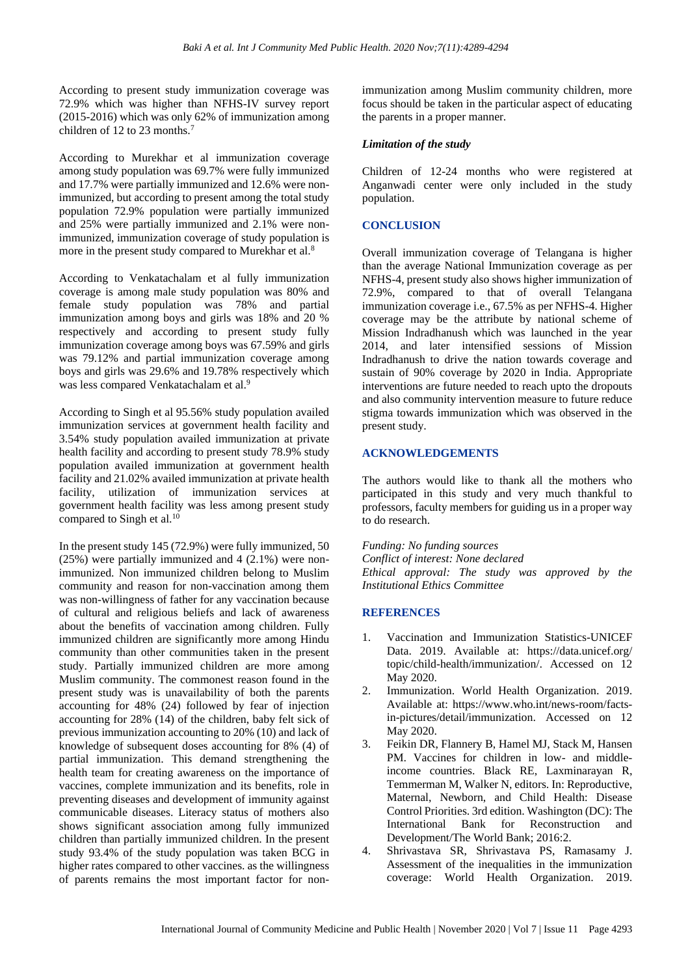According to present study immunization coverage was 72.9% which was higher than NFHS-IV survey report (2015-2016) which was only 62% of immunization among children of 12 to 23 months.<sup>7</sup>

According to Murekhar et al immunization coverage among study population was 69.7% were fully immunized and 17.7% were partially immunized and 12.6% were nonimmunized, but according to present among the total study population 72.9% population were partially immunized and 25% were partially immunized and 2.1% were nonimmunized, immunization coverage of study population is more in the present study compared to Murekhar et al.<sup>8</sup>

According to Venkatachalam et al fully immunization coverage is among male study population was 80% and female study population was 78% and partial immunization among boys and girls was 18% and 20 % respectively and according to present study fully immunization coverage among boys was 67.59% and girls was 79.12% and partial immunization coverage among boys and girls was 29.6% and 19.78% respectively which was less compared Venkatachalam et al.<sup>9</sup>

According to Singh et al 95.56% study population availed immunization services at government health facility and 3.54% study population availed immunization at private health facility and according to present study 78.9% study population availed immunization at government health facility and 21.02% availed immunization at private health facility, utilization of immunization services at government health facility was less among present study compared to Singh et al.<sup>10</sup>

In the present study 145 (72.9%) were fully immunized, 50 (25%) were partially immunized and 4 (2.1%) were nonimmunized. Non immunized children belong to Muslim community and reason for non-vaccination among them was non-willingness of father for any vaccination because of cultural and religious beliefs and lack of awareness about the benefits of vaccination among children. Fully immunized children are significantly more among Hindu community than other communities taken in the present study. Partially immunized children are more among Muslim community. The commonest reason found in the present study was is unavailability of both the parents accounting for 48% (24) followed by fear of injection accounting for 28% (14) of the children, baby felt sick of previous immunization accounting to 20% (10) and lack of knowledge of subsequent doses accounting for 8% (4) of partial immunization. This demand strengthening the health team for creating awareness on the importance of vaccines, complete immunization and its benefits, role in preventing diseases and development of immunity against communicable diseases. Literacy status of mothers also shows significant association among fully immunized children than partially immunized children. In the present study 93.4% of the study population was taken BCG in higher rates compared to other vaccines. as the willingness of parents remains the most important factor for nonimmunization among Muslim community children, more focus should be taken in the particular aspect of educating the parents in a proper manner.

### *Limitation of the study*

Children of 12-24 months who were registered at Anganwadi center were only included in the study population.

# **CONCLUSION**

Overall immunization coverage of Telangana is higher than the average National Immunization coverage as per NFHS-4, present study also shows higher immunization of 72.9%, compared to that of overall Telangana immunization coverage i.e., 67.5% as per NFHS-4. Higher coverage may be the attribute by national scheme of Mission Indradhanush which was launched in the year 2014, and later intensified sessions of Mission Indradhanush to drive the nation towards coverage and sustain of 90% coverage by 2020 in India. Appropriate interventions are future needed to reach upto the dropouts and also community intervention measure to future reduce stigma towards immunization which was observed in the present study.

## **ACKNOWLEDGEMENTS**

The authors would like to thank all the mothers who participated in this study and very much thankful to professors, faculty members for guiding us in a proper way to do research.

#### *Funding: No funding sources*

*Conflict of interest: None declared Ethical approval: The study was approved by the Institutional Ethics Committee*

#### **REFERENCES**

- 1. Vaccination and Immunization Statistics-UNICEF Data. 2019. Available at: https://data.unicef.org/ topic/child-health/immunization/. Accessed on 12 May 2020.
- 2. Immunization. World Health Organization. 2019. Available at: https://www.who.int/news-room/factsin-pictures/detail/immunization. Accessed on 12 May 2020.
- 3. Feikin DR, Flannery B, Hamel MJ, Stack M, Hansen PM. Vaccines for children in low- and middleincome countries. Black RE, Laxminarayan R, Temmerman M, Walker N, editors. In: Reproductive, Maternal, Newborn, and Child Health: Disease Control Priorities. 3rd edition. Washington (DC): The International Bank for Reconstruction and Development/The World Bank; 2016:2.
- 4. Shrivastava SR, Shrivastava PS, Ramasamy J. Assessment of the inequalities in the immunization coverage: World Health Organization. 2019.